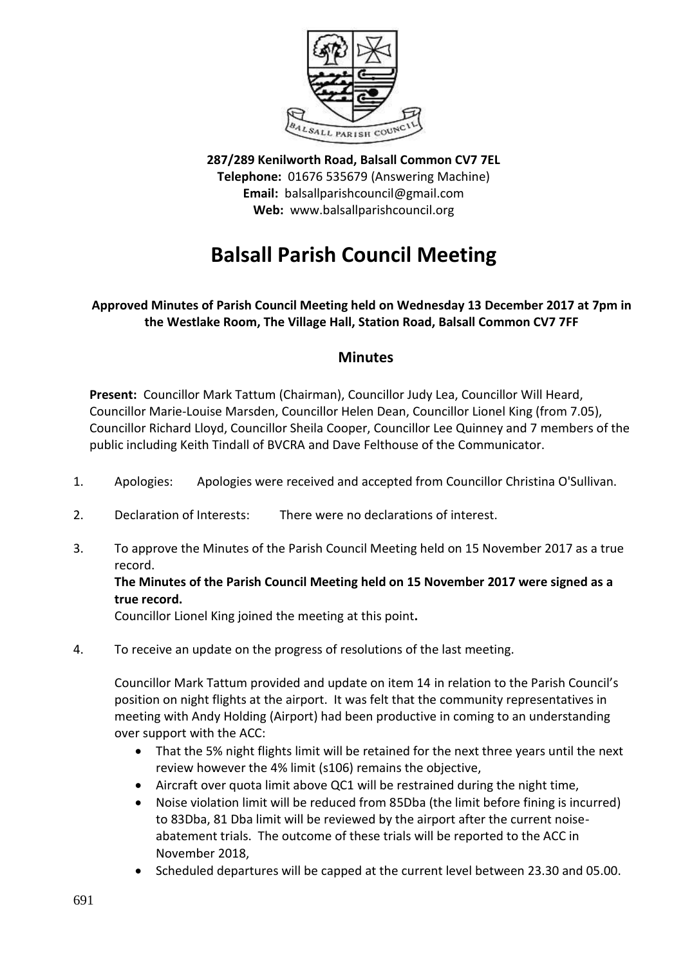

**287/289 Kenilworth Road, Balsall Common CV7 7EL Telephone:** 01676 535679 (Answering Machine) **Email:** balsallparishcouncil@gmail.com **Web:** www.balsallparishcouncil.org

# **Balsall Parish Council Meeting**

# **Approved Minutes of Parish Council Meeting held on Wednesday 13 December 2017 at 7pm in the Westlake Room, The Village Hall, Station Road, Balsall Common CV7 7FF**

# **Minutes**

**Present:** Councillor Mark Tattum (Chairman), Councillor Judy Lea, Councillor Will Heard, Councillor Marie-Louise Marsden, Councillor Helen Dean, Councillor Lionel King (from 7.05), Councillor Richard Lloyd, Councillor Sheila Cooper, Councillor Lee Quinney and 7 members of the public including Keith Tindall of BVCRA and Dave Felthouse of the Communicator.

- 1. Apologies: Apologies were received and accepted from Councillor Christina O'Sullivan.
- 2. Declaration of Interests: There were no declarations of interest.
- 3. To approve the Minutes of the Parish Council Meeting held on 15 November 2017 as a true record.

## **The Minutes of the Parish Council Meeting held on 15 November 2017 were signed as a true record.**

Councillor Lionel King joined the meeting at this point**.**

4. To receive an update on the progress of resolutions of the last meeting.

Councillor Mark Tattum provided and update on item 14 in relation to the Parish Council's position on night flights at the airport. It was felt that the community representatives in meeting with Andy Holding (Airport) had been productive in coming to an understanding over support with the ACC:

- That the 5% night flights limit will be retained for the next three years until the next review however the 4% limit (s106) remains the objective,
- Aircraft over quota limit above QC1 will be restrained during the night time,
- Noise violation limit will be reduced from 85Dba (the limit before fining is incurred) to 83Dba, 81 Dba limit will be reviewed by the airport after the current noiseabatement trials. The outcome of these trials will be reported to the ACC in November 2018,
- Scheduled departures will be capped at the current level between 23.30 and 05.00.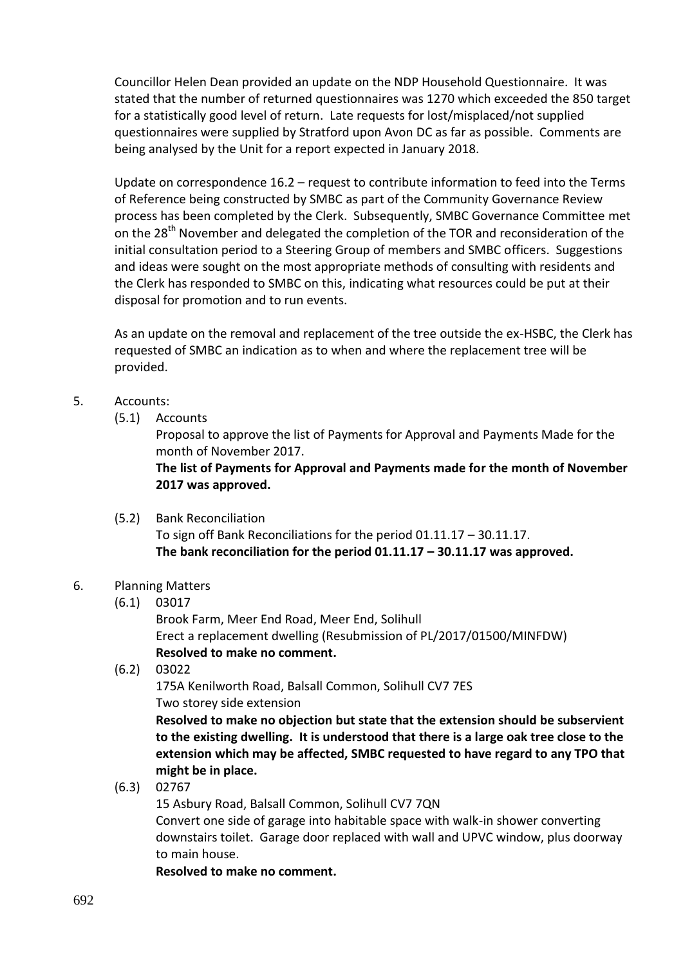Councillor Helen Dean provided an update on the NDP Household Questionnaire. It was stated that the number of returned questionnaires was 1270 which exceeded the 850 target for a statistically good level of return. Late requests for lost/misplaced/not supplied questionnaires were supplied by Stratford upon Avon DC as far as possible. Comments are being analysed by the Unit for a report expected in January 2018.

Update on correspondence 16.2 – request to contribute information to feed into the Terms of Reference being constructed by SMBC as part of the Community Governance Review process has been completed by the Clerk. Subsequently, SMBC Governance Committee met on the 28<sup>th</sup> November and delegated the completion of the TOR and reconsideration of the initial consultation period to a Steering Group of members and SMBC officers. Suggestions and ideas were sought on the most appropriate methods of consulting with residents and the Clerk has responded to SMBC on this, indicating what resources could be put at their disposal for promotion and to run events.

As an update on the removal and replacement of the tree outside the ex-HSBC, the Clerk has requested of SMBC an indication as to when and where the replacement tree will be provided.

## 5. Accounts:

(5.1) Accounts

Proposal to approve the list of Payments for Approval and Payments Made for the month of November 2017.

**The list of Payments for Approval and Payments made for the month of November 2017 was approved.**

(5.2) Bank Reconciliation To sign off Bank Reconciliations for the period 01.11.17 – 30.11.17. **The bank reconciliation for the period 01.11.17 – 30.11.17 was approved.**

#### 6. Planning Matters

(6.1) 03017

Brook Farm, Meer End Road, Meer End, Solihull Erect a replacement dwelling (Resubmission of PL/2017/01500/MINFDW) **Resolved to make no comment.**

(6.2) 03022

175A Kenilworth Road, Balsall Common, Solihull CV7 7ES Two storey side extension

**Resolved to make no objection but state that the extension should be subservient to the existing dwelling. It is understood that there is a large oak tree close to the extension which may be affected, SMBC requested to have regard to any TPO that might be in place.**

(6.3) 02767

15 Asbury Road, Balsall Common, Solihull CV7 7QN

Convert one side of garage into habitable space with walk-in shower converting downstairs toilet. Garage door replaced with wall and UPVC window, plus doorway to main house.

**Resolved to make no comment.**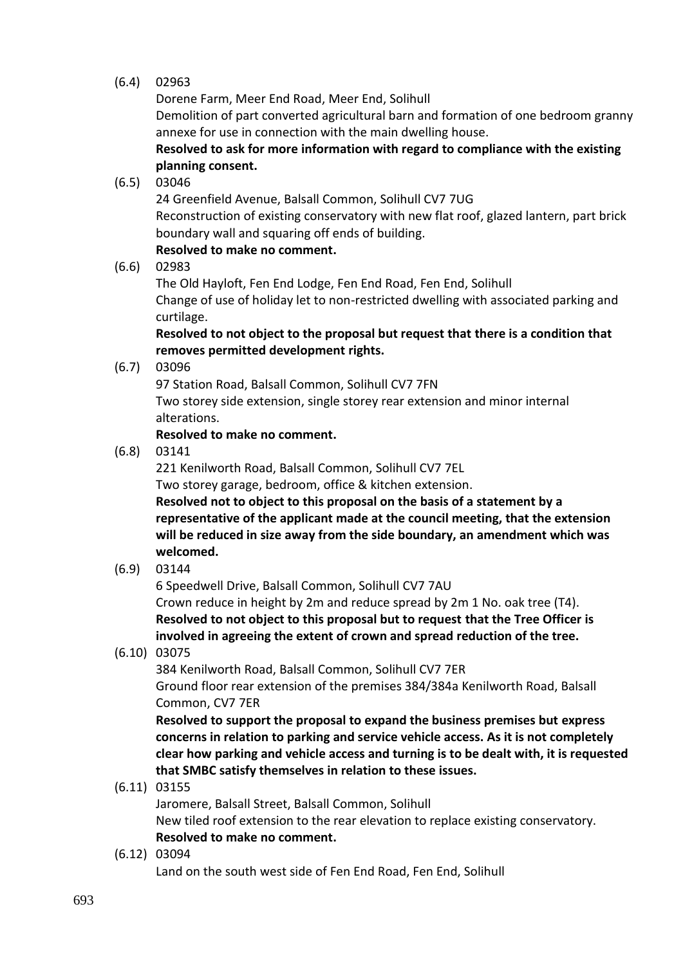## (6.4) 02963

Dorene Farm, Meer End Road, Meer End, Solihull Demolition of part converted agricultural barn and formation of one bedroom granny annexe for use in connection with the main dwelling house.

**Resolved to ask for more information with regard to compliance with the existing planning consent.**

(6.5) 03046

24 Greenfield Avenue, Balsall Common, Solihull CV7 7UG Reconstruction of existing conservatory with new flat roof, glazed lantern, part brick boundary wall and squaring off ends of building.

# **Resolved to make no comment.**

(6.6) 02983

The Old Hayloft, Fen End Lodge, Fen End Road, Fen End, Solihull Change of use of holiday let to non-restricted dwelling with associated parking and curtilage.

**Resolved to not object to the proposal but request that there is a condition that removes permitted development rights.**

(6.7) 03096

97 Station Road, Balsall Common, Solihull CV7 7FN Two storey side extension, single storey rear extension and minor internal alterations.

## **Resolved to make no comment.**

(6.8) 03141

221 Kenilworth Road, Balsall Common, Solihull CV7 7EL

Two storey garage, bedroom, office & kitchen extension.

**Resolved not to object to this proposal on the basis of a statement by a representative of the applicant made at the council meeting, that the extension will be reduced in size away from the side boundary, an amendment which was welcomed.**

(6.9) 03144

6 Speedwell Drive, Balsall Common, Solihull CV7 7AU

Crown reduce in height by 2m and reduce spread by 2m 1 No. oak tree (T4). **Resolved to not object to this proposal but to request that the Tree Officer is involved in agreeing the extent of crown and spread reduction of the tree.**

(6.10) 03075

384 Kenilworth Road, Balsall Common, Solihull CV7 7ER Ground floor rear extension of the premises 384/384a Kenilworth Road, Balsall Common, CV7 7ER

**Resolved to support the proposal to expand the business premises but express concerns in relation to parking and service vehicle access. As it is not completely clear how parking and vehicle access and turning is to be dealt with, it is requested that SMBC satisfy themselves in relation to these issues.**

(6.11) 03155

Jaromere, Balsall Street, Balsall Common, Solihull New tiled roof extension to the rear elevation to replace existing conservatory. **Resolved to make no comment.**

(6.12) 03094

Land on the south west side of Fen End Road, Fen End, Solihull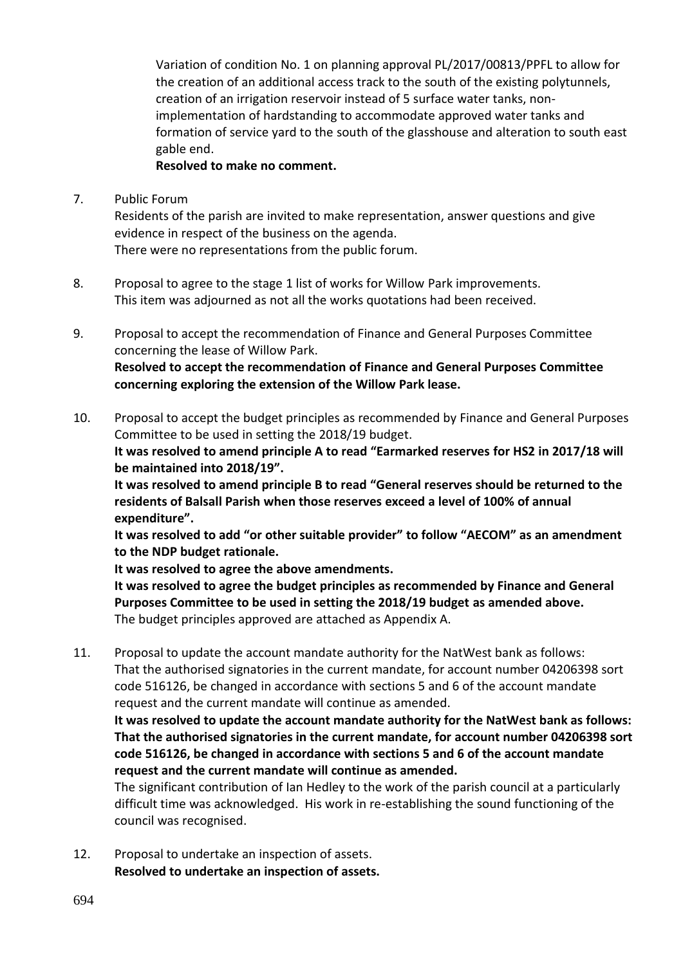Variation of condition No. 1 on planning approval PL/2017/00813/PPFL to allow for the creation of an additional access track to the south of the existing polytunnels, creation of an irrigation reservoir instead of 5 surface water tanks, nonimplementation of hardstanding to accommodate approved water tanks and formation of service yard to the south of the glasshouse and alteration to south east gable end.

#### **Resolved to make no comment.**

7. Public Forum

Residents of the parish are invited to make representation, answer questions and give evidence in respect of the business on the agenda. There were no representations from the public forum.

- 8. Proposal to agree to the stage 1 list of works for Willow Park improvements. This item was adjourned as not all the works quotations had been received.
- 9. Proposal to accept the recommendation of Finance and General Purposes Committee concerning the lease of Willow Park. **Resolved to accept the recommendation of Finance and General Purposes Committee concerning exploring the extension of the Willow Park lease.**
- 10. Proposal to accept the budget principles as recommended by Finance and General Purposes Committee to be used in setting the 2018/19 budget. **It was resolved to amend principle A to read "Earmarked reserves for HS2 in 2017/18 will**

**be maintained into 2018/19".**

**It was resolved to amend principle B to read "General reserves should be returned to the residents of Balsall Parish when those reserves exceed a level of 100% of annual expenditure".**

**It was resolved to add "or other suitable provider" to follow "AECOM" as an amendment to the NDP budget rationale.**

**It was resolved to agree the above amendments.**

**It was resolved to agree the budget principles as recommended by Finance and General Purposes Committee to be used in setting the 2018/19 budget as amended above.** The budget principles approved are attached as Appendix A.

11. Proposal to update the account mandate authority for the NatWest bank as follows: That the authorised signatories in the current mandate, for account number 04206398 sort code 516126, be changed in accordance with sections 5 and 6 of the account mandate request and the current mandate will continue as amended.

**It was resolved to update the account mandate authority for the NatWest bank as follows: That the authorised signatories in the current mandate, for account number 04206398 sort code 516126, be changed in accordance with sections 5 and 6 of the account mandate request and the current mandate will continue as amended.**

The significant contribution of Ian Hedley to the work of the parish council at a particularly difficult time was acknowledged. His work in re-establishing the sound functioning of the council was recognised.

12. Proposal to undertake an inspection of assets. **Resolved to undertake an inspection of assets.**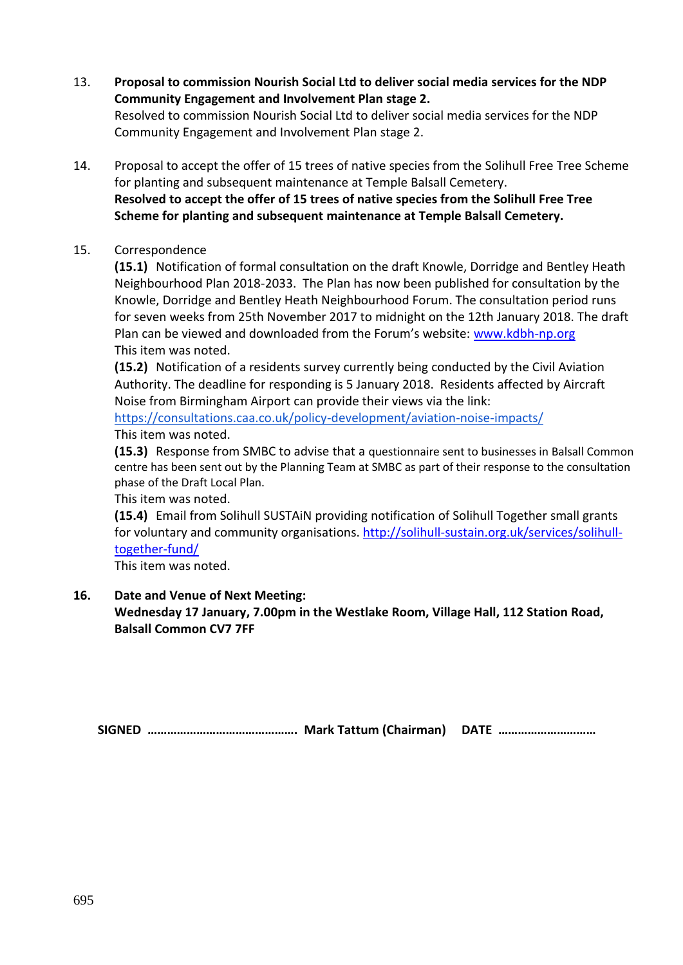- 13. **Proposal to commission Nourish Social Ltd to deliver social media services for the NDP Community Engagement and Involvement Plan stage 2.** Resolved to commission Nourish Social Ltd to deliver social media services for the NDP Community Engagement and Involvement Plan stage 2.
- 14. Proposal to accept the offer of 15 trees of native species from the Solihull Free Tree Scheme for planting and subsequent maintenance at Temple Balsall Cemetery. **Resolved to accept the offer of 15 trees of native species from the Solihull Free Tree Scheme for planting and subsequent maintenance at Temple Balsall Cemetery.**

#### 15. Correspondence

**(15.1)** Notification of formal consultation on the draft Knowle, Dorridge and Bentley Heath Neighbourhood Plan 2018-2033. The Plan has now been published for consultation by the Knowle, Dorridge and Bentley Heath Neighbourhood Forum. The consultation period runs for seven weeks from 25th November 2017 to midnight on the 12th January 2018. The draft Plan can be viewed and downloaded from the Forum's website: [www.kdbh-np.org](http://www.kdbh-np.org/) This item was noted.

**(15.2)** Notification of a residents survey currently being conducted by the Civil Aviation Authority. The deadline for responding is 5 January 2018. Residents affected by Aircraft Noise from Birmingham Airport can provide their views via the link:

<https://consultations.caa.co.uk/policy-development/aviation-noise-impacts/> This item was noted.

**(15.3)** Response from SMBC to advise that a questionnaire sent to businesses in Balsall Common centre has been sent out by the Planning Team at SMBC as part of their response to the consultation phase of the Draft Local Plan.

This item was noted.

**(15.4)** Email from Solihull SUSTAiN providing notification of Solihull Together small grants for voluntary and community organisations. [http://solihull-sustain.org.uk/services/solihull](http://solihull-sustain.org.uk/services/solihull-together-fund/)[together-fund/](http://solihull-sustain.org.uk/services/solihull-together-fund/)

This item was noted.

## **16. Date and Venue of Next Meeting:**

**Wednesday 17 January, 7.00pm in the Westlake Room, Village Hall, 112 Station Road, Balsall Common CV7 7FF**

**SIGNED ………………………………………. Mark Tattum (Chairman) DATE …………………………**